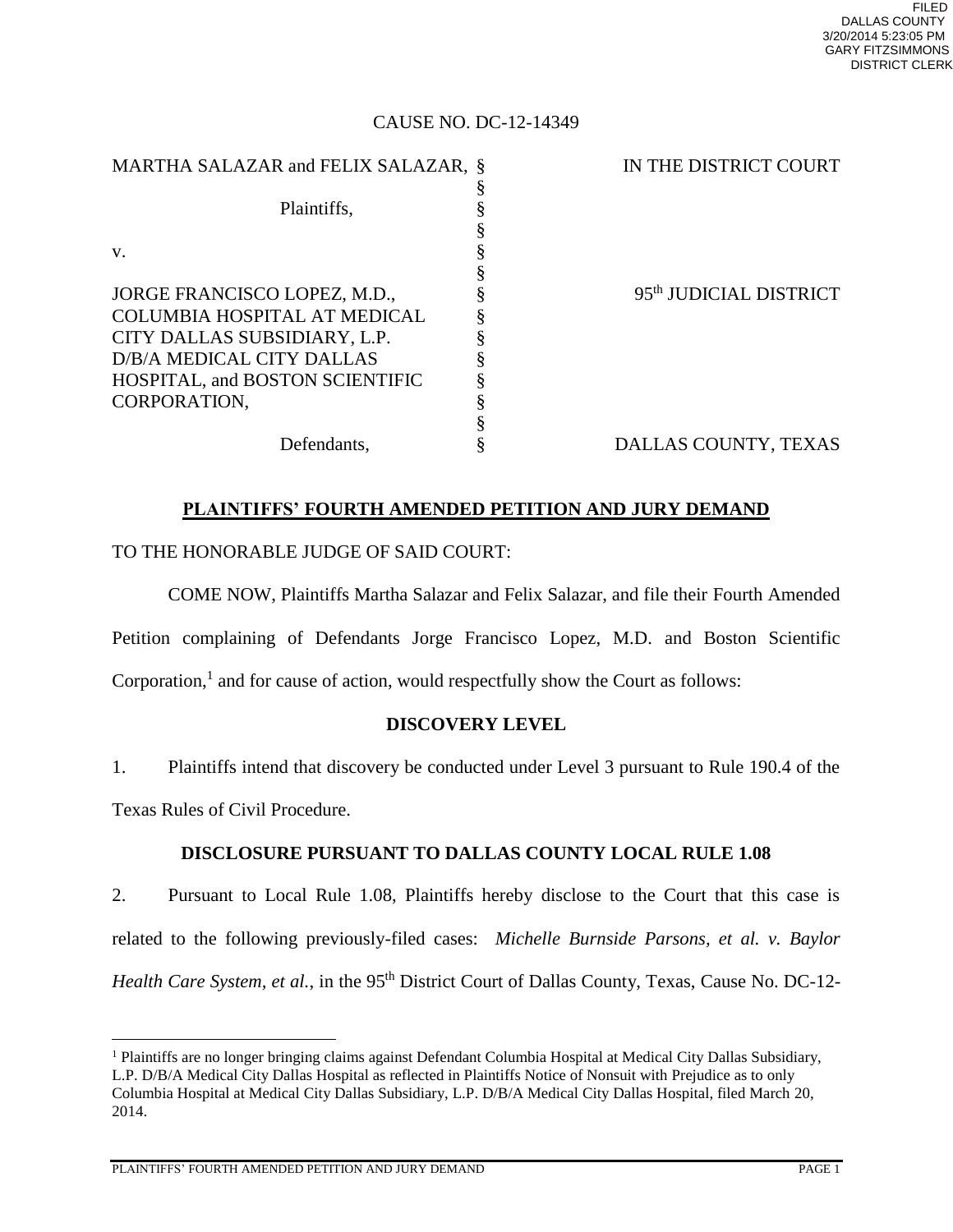## CAUSE NO. DC-12-14349

| MARTHA SALAZAR and FELIX SALAZAR, § | IN THE DISTRICT COURT              |
|-------------------------------------|------------------------------------|
|                                     |                                    |
| Plaintiffs,                         |                                    |
|                                     |                                    |
| V.                                  |                                    |
|                                     |                                    |
| JORGE FRANCISCO LOPEZ, M.D.,        | 95 <sup>th</sup> JUDICIAL DISTRICT |
| COLUMBIA HOSPITAL AT MEDICAL        |                                    |
| CITY DALLAS SUBSIDIARY, L.P.        |                                    |
| D/B/A MEDICAL CITY DALLAS           |                                    |
| HOSPITAL, and BOSTON SCIENTIFIC     |                                    |
| CORPORATION.                        |                                    |
|                                     |                                    |
| Defendants,                         | DALLAS COUNTY, TEXAS               |

# **PLAINTIFFS' FOURTH AMENDED PETITION AND JURY DEMAND**

# TO THE HONORABLE JUDGE OF SAID COURT:

 COME NOW, Plaintiffs Martha Salazar and Felix Salazar, and file their Fourth Amended Petition complaining of Defendants Jorge Francisco Lopez, M.D. and Boston Scientific Corporation, $<sup>1</sup>$  and for cause of action, would respectfully show the Court as follows:</sup>

# **DISCOVERY LEVEL**

1. Plaintiffs intend that discovery be conducted under Level 3 pursuant to Rule 190.4 of the Texas Rules of Civil Procedure.

# **DISCLOSURE PURSUANT TO DALLAS COUNTY LOCAL RULE 1.08**

2. Pursuant to Local Rule 1.08, Plaintiffs hereby disclose to the Court that this case is related to the following previously-filed cases: *Michelle Burnside Parsons, et al. v. Baylor Health Care System, et al., in the 95<sup>th</sup> District Court of Dallas County, Texas, Cause No. DC-12-*

PLAINTIFFS' FOURTH AMENDED PETITION AND JURY DEMAND PAGE 1

 $\overline{a}$ 

<sup>&</sup>lt;sup>1</sup> Plaintiffs are no longer bringing claims against Defendant Columbia Hospital at Medical City Dallas Subsidiary, L.P. D/B/A Medical City Dallas Hospital as reflected in Plaintiffs Notice of Nonsuit with Prejudice as to only Columbia Hospital at Medical City Dallas Subsidiary, L.P. D/B/A Medical City Dallas Hospital, filed March 20, 2014.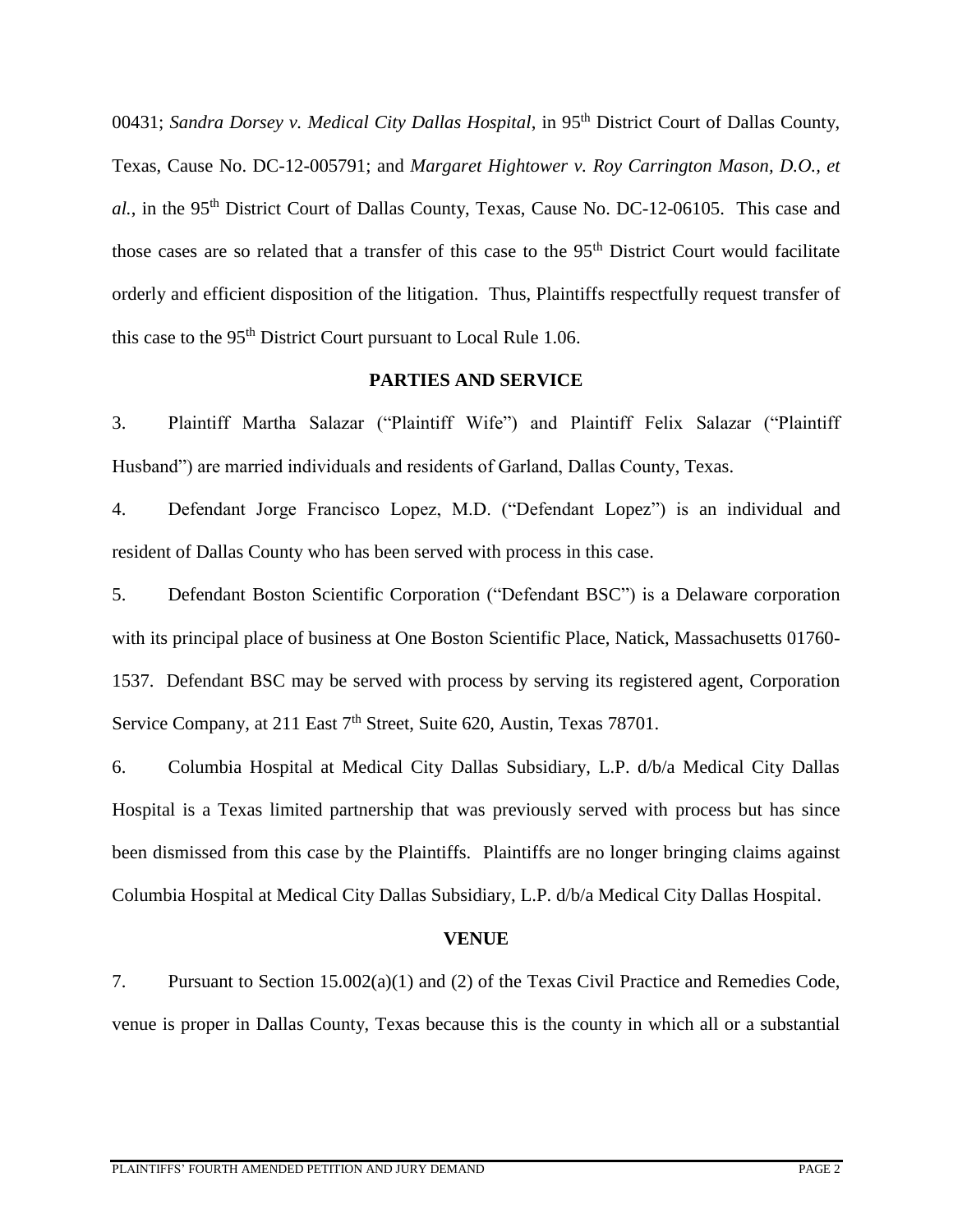00431; *Sandra Dorsey v. Medical City Dallas Hospital*, in 95th District Court of Dallas County, Texas, Cause No. DC-12-005791; and *Margaret Hightower v. Roy Carrington Mason, D.O., et*  al., in the 95<sup>th</sup> District Court of Dallas County, Texas, Cause No. DC-12-06105. This case and those cases are so related that a transfer of this case to the 95<sup>th</sup> District Court would facilitate orderly and efficient disposition of the litigation. Thus, Plaintiffs respectfully request transfer of this case to the 95<sup>th</sup> District Court pursuant to Local Rule 1.06.

## **PARTIES AND SERVICE**

3. Plaintiff Martha Salazar ("Plaintiff Wife") and Plaintiff Felix Salazar ("Plaintiff Husband") are married individuals and residents of Garland, Dallas County, Texas.

4. Defendant Jorge Francisco Lopez, M.D. ("Defendant Lopez") is an individual and resident of Dallas County who has been served with process in this case.

5. Defendant Boston Scientific Corporation ("Defendant BSC") is a Delaware corporation with its principal place of business at One Boston Scientific Place, Natick, Massachusetts 01760- 1537. Defendant BSC may be served with process by serving its registered agent, Corporation Service Company, at 211 East 7<sup>th</sup> Street, Suite 620, Austin, Texas 78701.

6. Columbia Hospital at Medical City Dallas Subsidiary, L.P. d/b/a Medical City Dallas Hospital is a Texas limited partnership that was previously served with process but has since been dismissed from this case by the Plaintiffs. Plaintiffs are no longer bringing claims against Columbia Hospital at Medical City Dallas Subsidiary, L.P. d/b/a Medical City Dallas Hospital.

# **VENUE**

7. Pursuant to Section 15.002(a)(1) and (2) of the Texas Civil Practice and Remedies Code, venue is proper in Dallas County, Texas because this is the county in which all or a substantial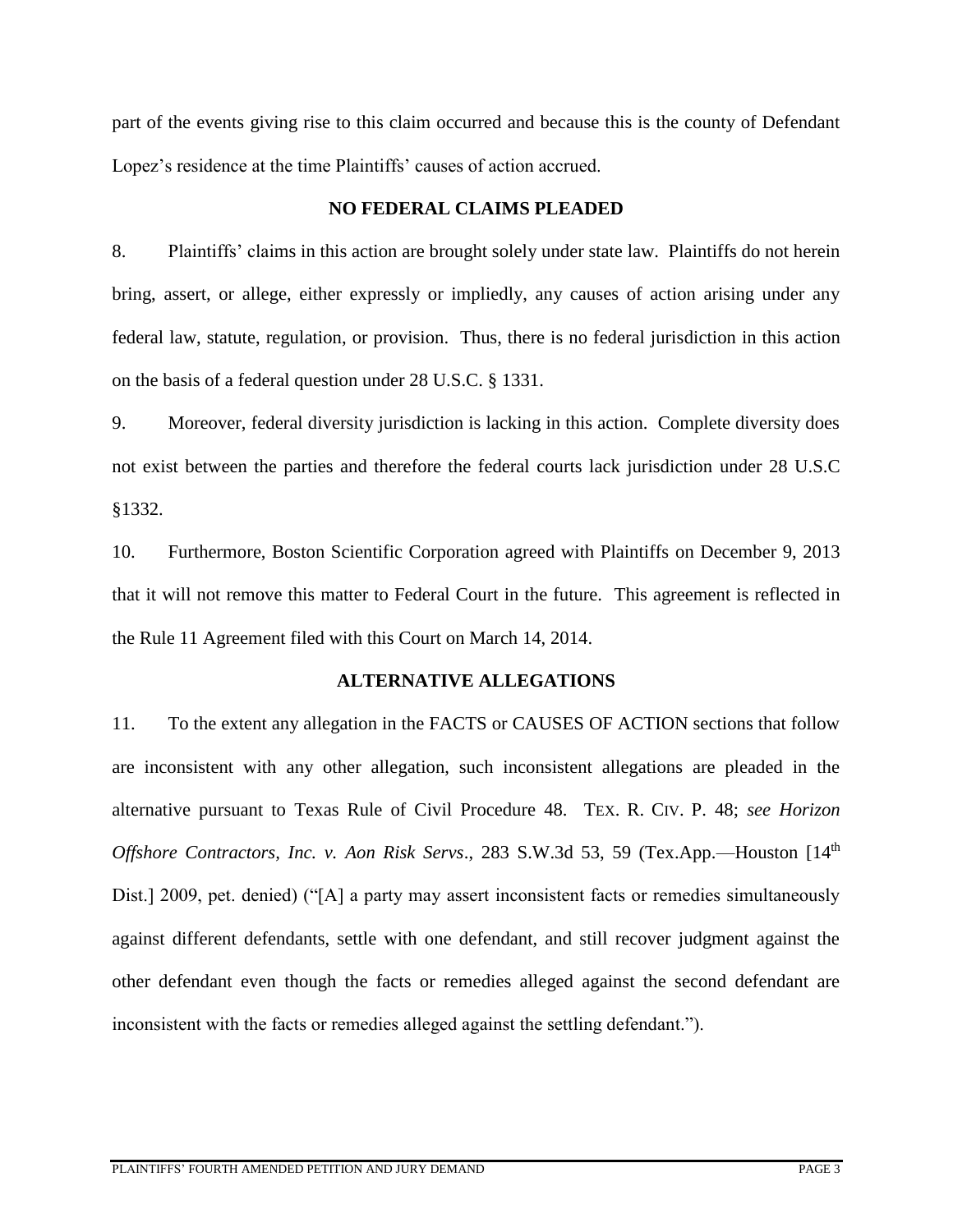part of the events giving rise to this claim occurred and because this is the county of Defendant Lopez's residence at the time Plaintiffs' causes of action accrued.

# **NO FEDERAL CLAIMS PLEADED**

8. Plaintiffs' claims in this action are brought solely under state law. Plaintiffs do not herein bring, assert, or allege, either expressly or impliedly, any causes of action arising under any federal law, statute, regulation, or provision. Thus, there is no federal jurisdiction in this action on the basis of a federal question under 28 U.S.C. § 1331.

9. Moreover, federal diversity jurisdiction is lacking in this action. Complete diversity does not exist between the parties and therefore the federal courts lack jurisdiction under 28 U.S.C §1332.

10. Furthermore, Boston Scientific Corporation agreed with Plaintiffs on December 9, 2013 that it will not remove this matter to Federal Court in the future. This agreement is reflected in the Rule 11 Agreement filed with this Court on March 14, 2014.

# **ALTERNATIVE ALLEGATIONS**

11. To the extent any allegation in the FACTS or CAUSES OF ACTION sections that follow are inconsistent with any other allegation, such inconsistent allegations are pleaded in the alternative pursuant to Texas Rule of Civil Procedure 48. TEX. R. CIV. P. 48; *see Horizon Offshore Contractors, Inc. v. Aon Risk Servs.*, 283 S.W.3d 53, 59 (Tex.App.—Houston [14<sup>th</sup> Dist.] 2009, pet. denied) ("[A] a party may assert inconsistent facts or remedies simultaneously against different defendants, settle with one defendant, and still recover judgment against the other defendant even though the facts or remedies alleged against the second defendant are inconsistent with the facts or remedies alleged against the settling defendant.").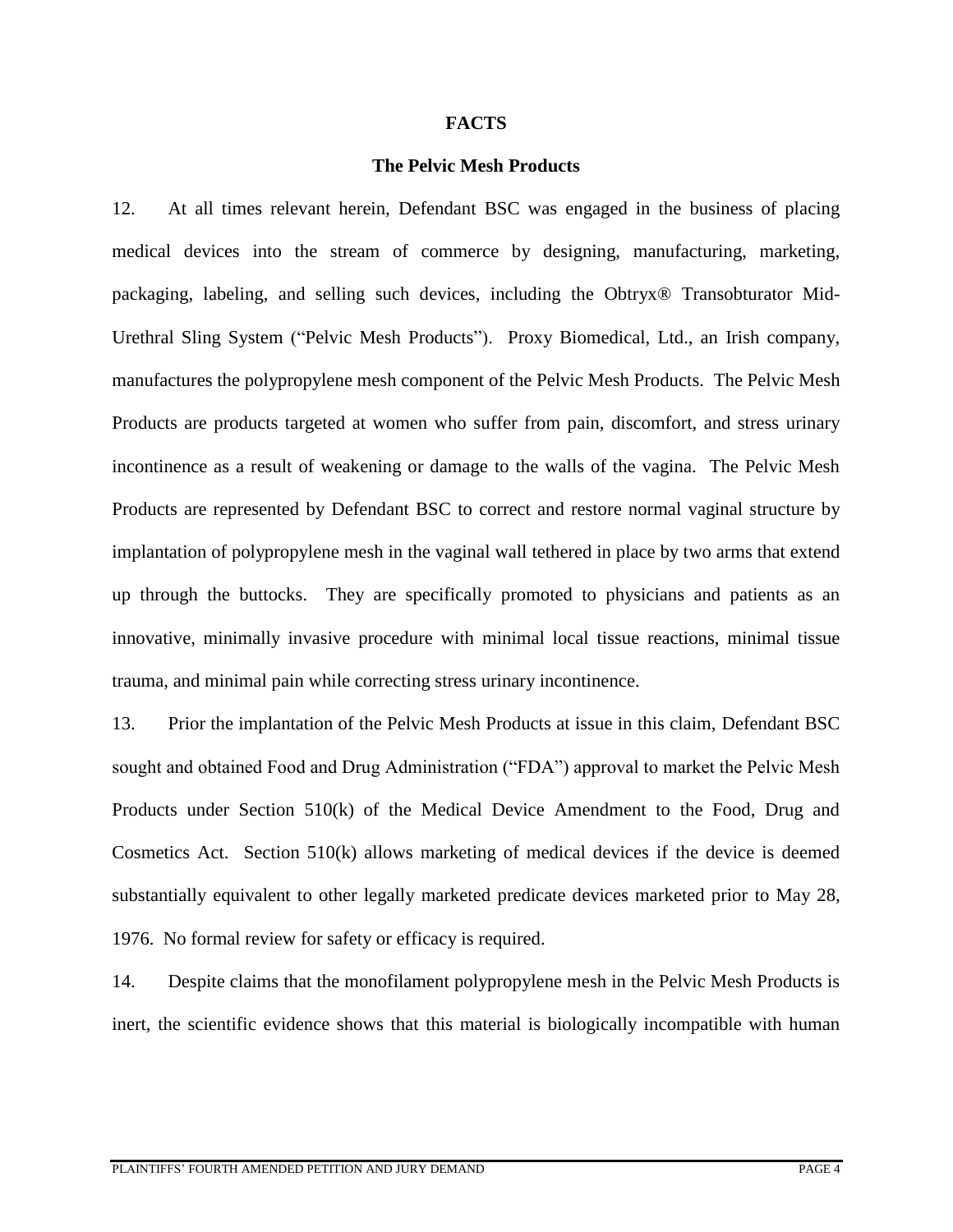#### **FACTS**

#### **The Pelvic Mesh Products**

12. At all times relevant herein, Defendant BSC was engaged in the business of placing medical devices into the stream of commerce by designing, manufacturing, marketing, packaging, labeling, and selling such devices, including the Obtryx® Transobturator Mid-Urethral Sling System ("Pelvic Mesh Products"). Proxy Biomedical, Ltd., an Irish company, manufactures the polypropylene mesh component of the Pelvic Mesh Products. The Pelvic Mesh Products are products targeted at women who suffer from pain, discomfort, and stress urinary incontinence as a result of weakening or damage to the walls of the vagina. The Pelvic Mesh Products are represented by Defendant BSC to correct and restore normal vaginal structure by implantation of polypropylene mesh in the vaginal wall tethered in place by two arms that extend up through the buttocks. They are specifically promoted to physicians and patients as an innovative, minimally invasive procedure with minimal local tissue reactions, minimal tissue trauma, and minimal pain while correcting stress urinary incontinence.

13. Prior the implantation of the Pelvic Mesh Products at issue in this claim, Defendant BSC sought and obtained Food and Drug Administration ("FDA") approval to market the Pelvic Mesh Products under Section 510(k) of the Medical Device Amendment to the Food, Drug and Cosmetics Act. Section 510(k) allows marketing of medical devices if the device is deemed substantially equivalent to other legally marketed predicate devices marketed prior to May 28, 1976. No formal review for safety or efficacy is required.

14. Despite claims that the monofilament polypropylene mesh in the Pelvic Mesh Products is inert, the scientific evidence shows that this material is biologically incompatible with human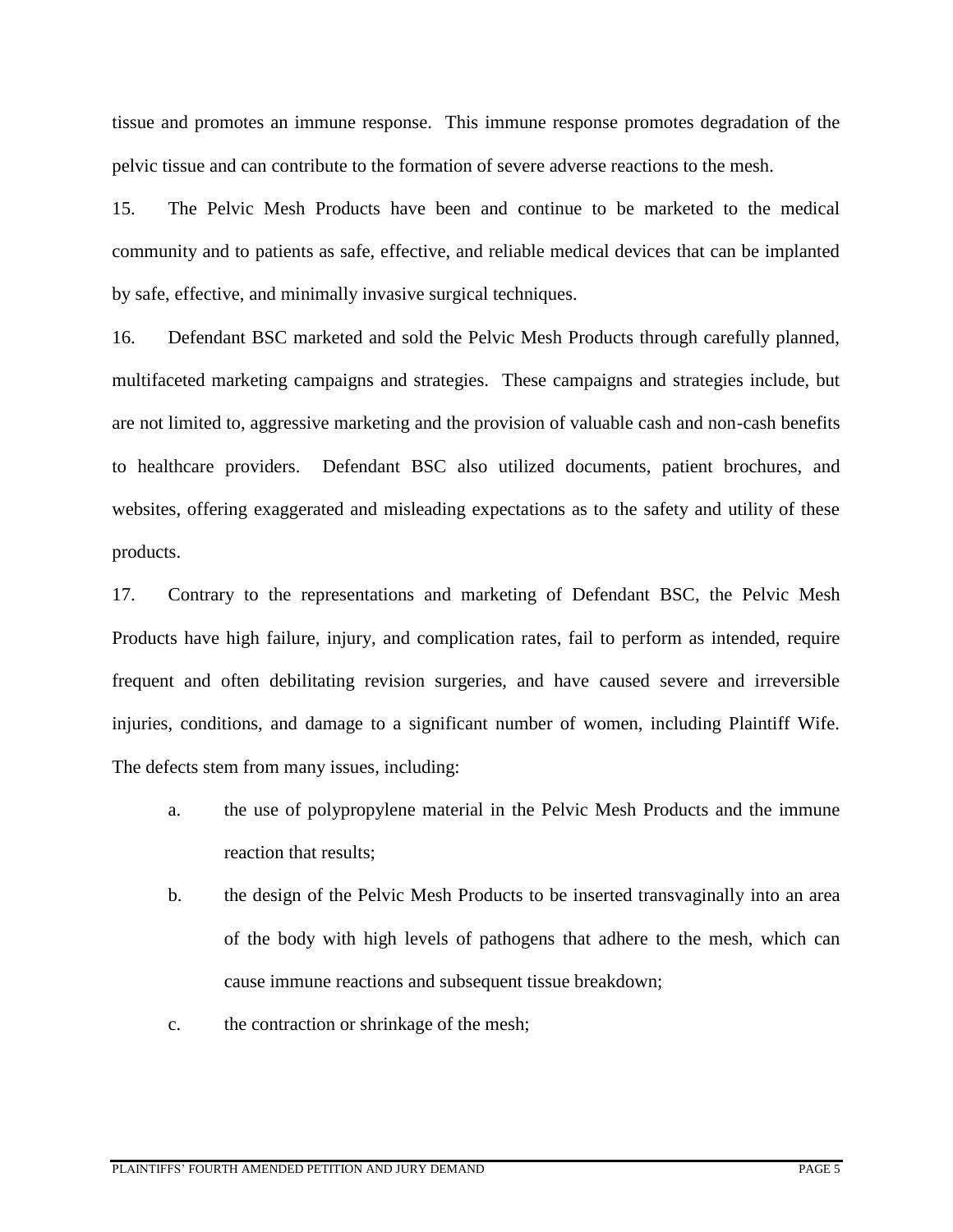tissue and promotes an immune response. This immune response promotes degradation of the pelvic tissue and can contribute to the formation of severe adverse reactions to the mesh.

15. The Pelvic Mesh Products have been and continue to be marketed to the medical community and to patients as safe, effective, and reliable medical devices that can be implanted by safe, effective, and minimally invasive surgical techniques.

16. Defendant BSC marketed and sold the Pelvic Mesh Products through carefully planned, multifaceted marketing campaigns and strategies. These campaigns and strategies include, but are not limited to, aggressive marketing and the provision of valuable cash and non-cash benefits to healthcare providers. Defendant BSC also utilized documents, patient brochures, and websites, offering exaggerated and misleading expectations as to the safety and utility of these products.

17. Contrary to the representations and marketing of Defendant BSC, the Pelvic Mesh Products have high failure, injury, and complication rates, fail to perform as intended, require frequent and often debilitating revision surgeries, and have caused severe and irreversible injuries, conditions, and damage to a significant number of women, including Plaintiff Wife. The defects stem from many issues, including:

- a. the use of polypropylene material in the Pelvic Mesh Products and the immune reaction that results;
- b. the design of the Pelvic Mesh Products to be inserted transvaginally into an area of the body with high levels of pathogens that adhere to the mesh, which can cause immune reactions and subsequent tissue breakdown;
- c. the contraction or shrinkage of the mesh;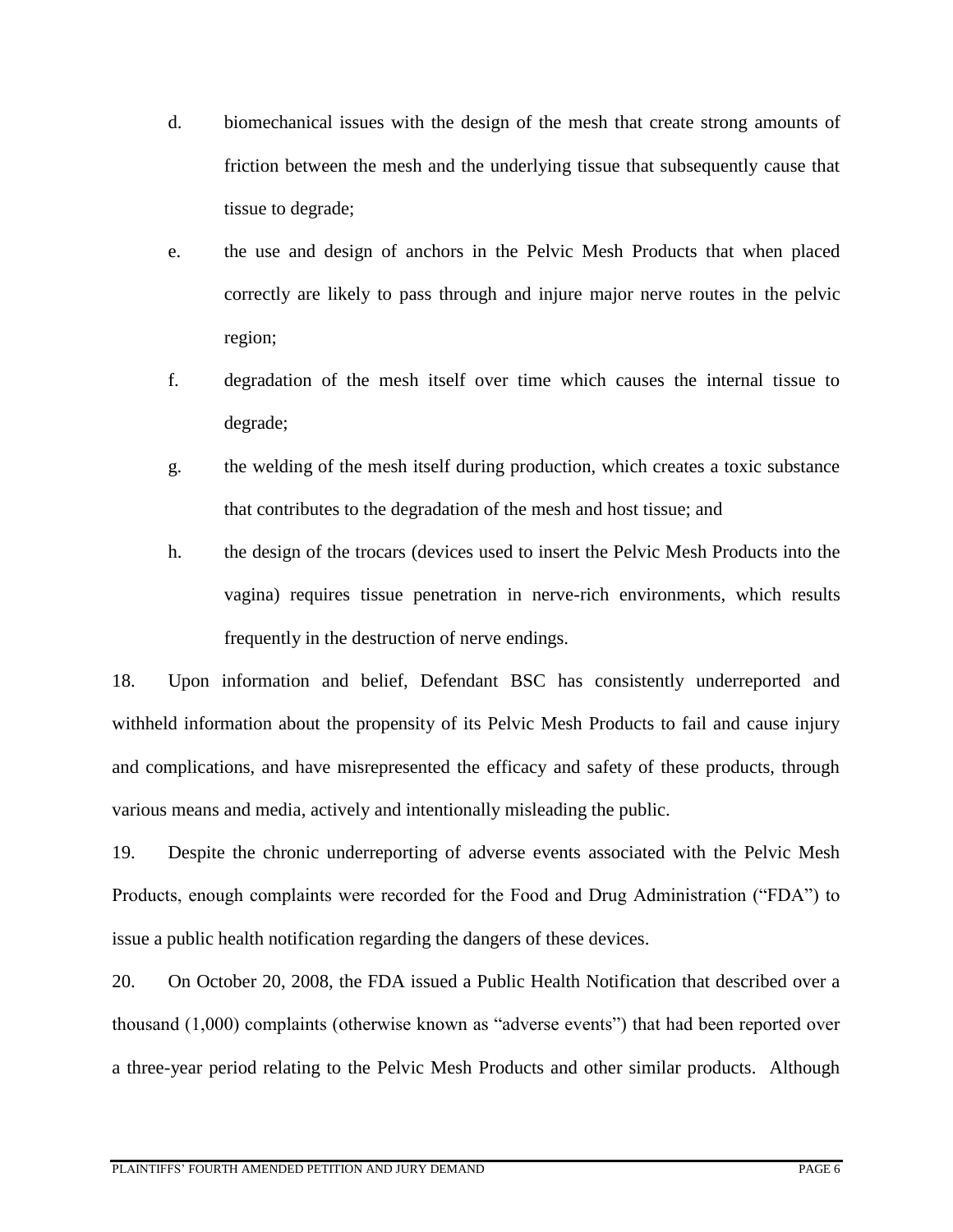- d. biomechanical issues with the design of the mesh that create strong amounts of friction between the mesh and the underlying tissue that subsequently cause that tissue to degrade;
- e. the use and design of anchors in the Pelvic Mesh Products that when placed correctly are likely to pass through and injure major nerve routes in the pelvic region;
- f. degradation of the mesh itself over time which causes the internal tissue to degrade;
- g. the welding of the mesh itself during production, which creates a toxic substance that contributes to the degradation of the mesh and host tissue; and
- h. the design of the trocars (devices used to insert the Pelvic Mesh Products into the vagina) requires tissue penetration in nerve-rich environments, which results frequently in the destruction of nerve endings.

18. Upon information and belief, Defendant BSC has consistently underreported and withheld information about the propensity of its Pelvic Mesh Products to fail and cause injury and complications, and have misrepresented the efficacy and safety of these products, through various means and media, actively and intentionally misleading the public.

19. Despite the chronic underreporting of adverse events associated with the Pelvic Mesh Products, enough complaints were recorded for the Food and Drug Administration ("FDA") to issue a public health notification regarding the dangers of these devices.

20. On October 20, 2008, the FDA issued a Public Health Notification that described over a thousand (1,000) complaints (otherwise known as "adverse events") that had been reported over a three-year period relating to the Pelvic Mesh Products and other similar products. Although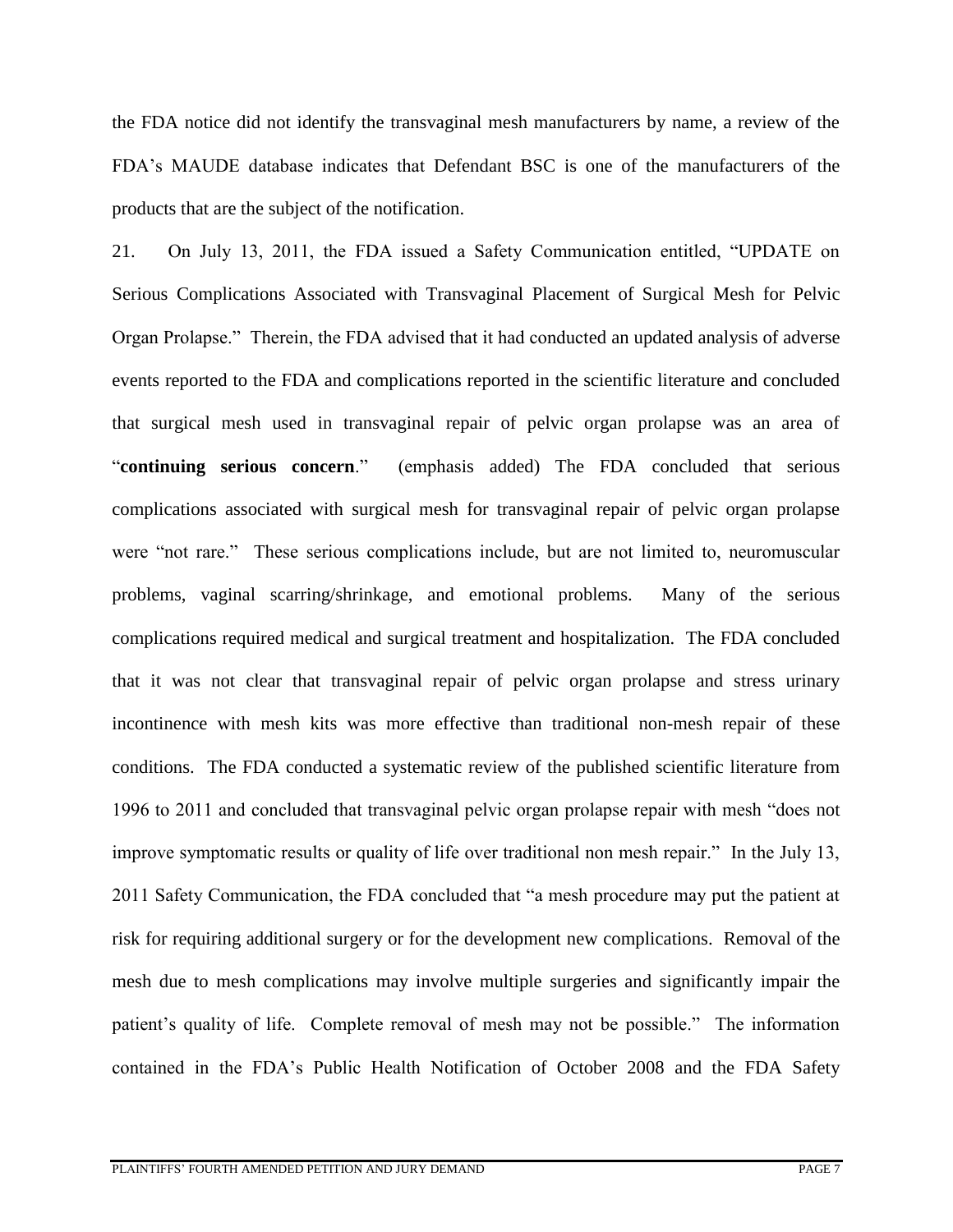the FDA notice did not identify the transvaginal mesh manufacturers by name, a review of the FDA's MAUDE database indicates that Defendant BSC is one of the manufacturers of the products that are the subject of the notification.

21. On July 13, 2011, the FDA issued a Safety Communication entitled, "UPDATE on Serious Complications Associated with Transvaginal Placement of Surgical Mesh for Pelvic Organ Prolapse." Therein, the FDA advised that it had conducted an updated analysis of adverse events reported to the FDA and complications reported in the scientific literature and concluded that surgical mesh used in transvaginal repair of pelvic organ prolapse was an area of "**continuing serious concern**." (emphasis added) The FDA concluded that serious complications associated with surgical mesh for transvaginal repair of pelvic organ prolapse were "not rare." These serious complications include, but are not limited to, neuromuscular problems, vaginal scarring/shrinkage, and emotional problems. Many of the serious complications required medical and surgical treatment and hospitalization. The FDA concluded that it was not clear that transvaginal repair of pelvic organ prolapse and stress urinary incontinence with mesh kits was more effective than traditional non-mesh repair of these conditions. The FDA conducted a systematic review of the published scientific literature from 1996 to 2011 and concluded that transvaginal pelvic organ prolapse repair with mesh "does not improve symptomatic results or quality of life over traditional non mesh repair." In the July 13, 2011 Safety Communication, the FDA concluded that "a mesh procedure may put the patient at risk for requiring additional surgery or for the development new complications. Removal of the mesh due to mesh complications may involve multiple surgeries and significantly impair the patient's quality of life. Complete removal of mesh may not be possible." The information contained in the FDA's Public Health Notification of October 2008 and the FDA Safety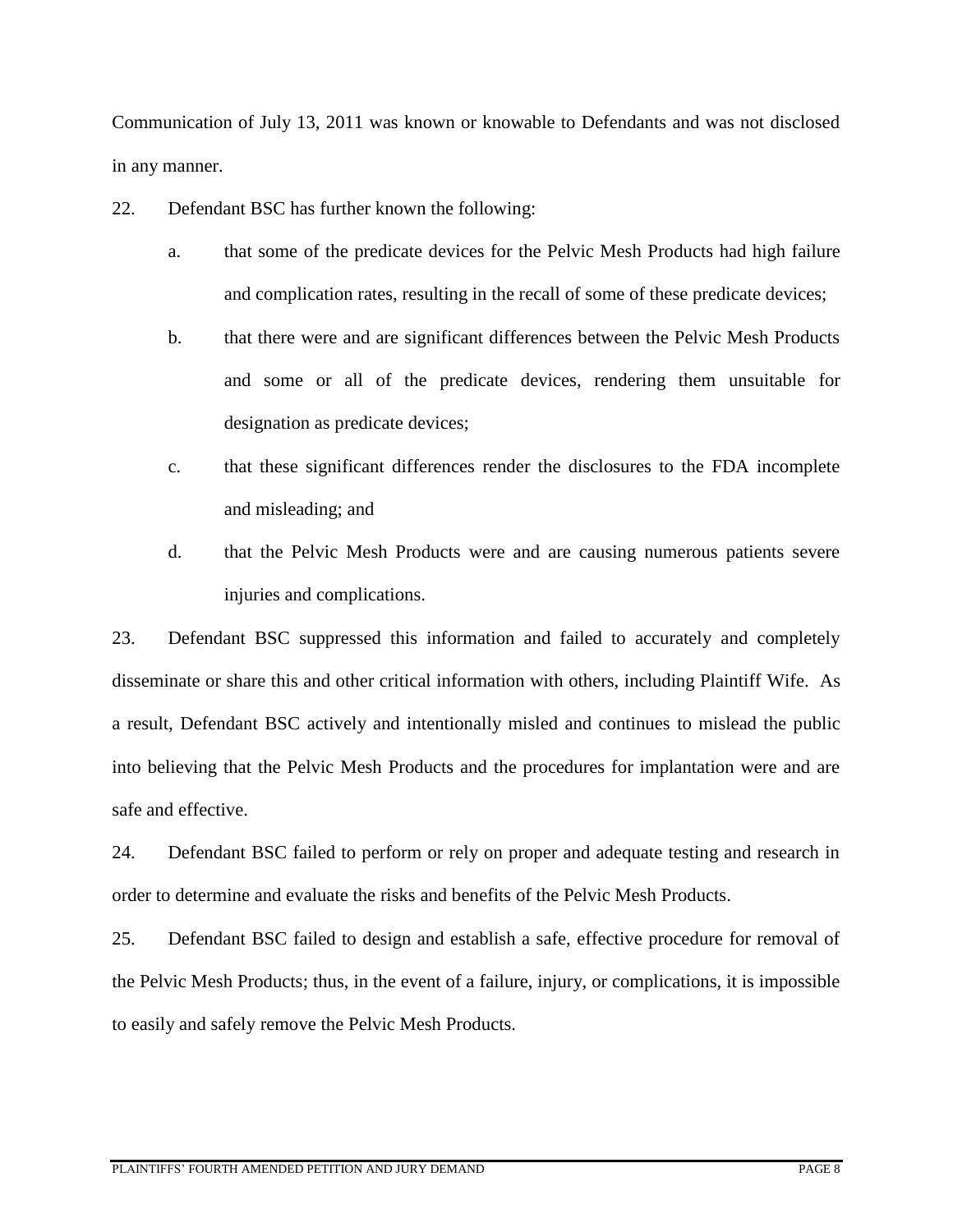Communication of July 13, 2011 was known or knowable to Defendants and was not disclosed in any manner.

- 22. Defendant BSC has further known the following:
	- a. that some of the predicate devices for the Pelvic Mesh Products had high failure and complication rates, resulting in the recall of some of these predicate devices;
	- b. that there were and are significant differences between the Pelvic Mesh Products and some or all of the predicate devices, rendering them unsuitable for designation as predicate devices;
	- c. that these significant differences render the disclosures to the FDA incomplete and misleading; and
	- d. that the Pelvic Mesh Products were and are causing numerous patients severe injuries and complications.

23. Defendant BSC suppressed this information and failed to accurately and completely disseminate or share this and other critical information with others, including Plaintiff Wife. As a result, Defendant BSC actively and intentionally misled and continues to mislead the public into believing that the Pelvic Mesh Products and the procedures for implantation were and are safe and effective.

24. Defendant BSC failed to perform or rely on proper and adequate testing and research in order to determine and evaluate the risks and benefits of the Pelvic Mesh Products.

25. Defendant BSC failed to design and establish a safe, effective procedure for removal of the Pelvic Mesh Products; thus, in the event of a failure, injury, or complications, it is impossible to easily and safely remove the Pelvic Mesh Products.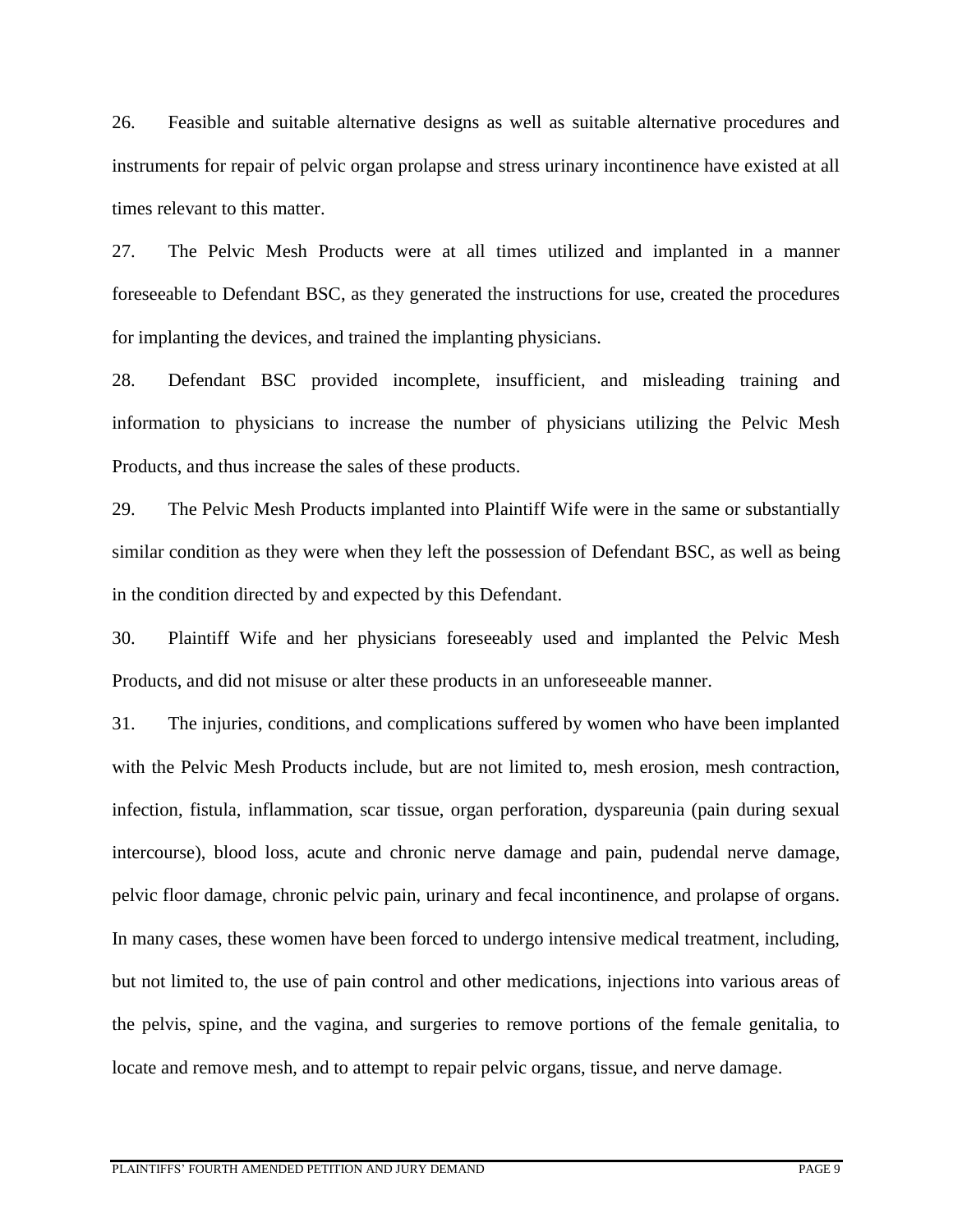26. Feasible and suitable alternative designs as well as suitable alternative procedures and instruments for repair of pelvic organ prolapse and stress urinary incontinence have existed at all times relevant to this matter.

27. The Pelvic Mesh Products were at all times utilized and implanted in a manner foreseeable to Defendant BSC, as they generated the instructions for use, created the procedures for implanting the devices, and trained the implanting physicians.

28. Defendant BSC provided incomplete, insufficient, and misleading training and information to physicians to increase the number of physicians utilizing the Pelvic Mesh Products, and thus increase the sales of these products.

29. The Pelvic Mesh Products implanted into Plaintiff Wife were in the same or substantially similar condition as they were when they left the possession of Defendant BSC, as well as being in the condition directed by and expected by this Defendant.

30. Plaintiff Wife and her physicians foreseeably used and implanted the Pelvic Mesh Products, and did not misuse or alter these products in an unforeseeable manner.

31. The injuries, conditions, and complications suffered by women who have been implanted with the Pelvic Mesh Products include, but are not limited to, mesh erosion, mesh contraction, infection, fistula, inflammation, scar tissue, organ perforation, dyspareunia (pain during sexual intercourse), blood loss, acute and chronic nerve damage and pain, pudendal nerve damage, pelvic floor damage, chronic pelvic pain, urinary and fecal incontinence, and prolapse of organs. In many cases, these women have been forced to undergo intensive medical treatment, including, but not limited to, the use of pain control and other medications, injections into various areas of the pelvis, spine, and the vagina, and surgeries to remove portions of the female genitalia, to locate and remove mesh, and to attempt to repair pelvic organs, tissue, and nerve damage.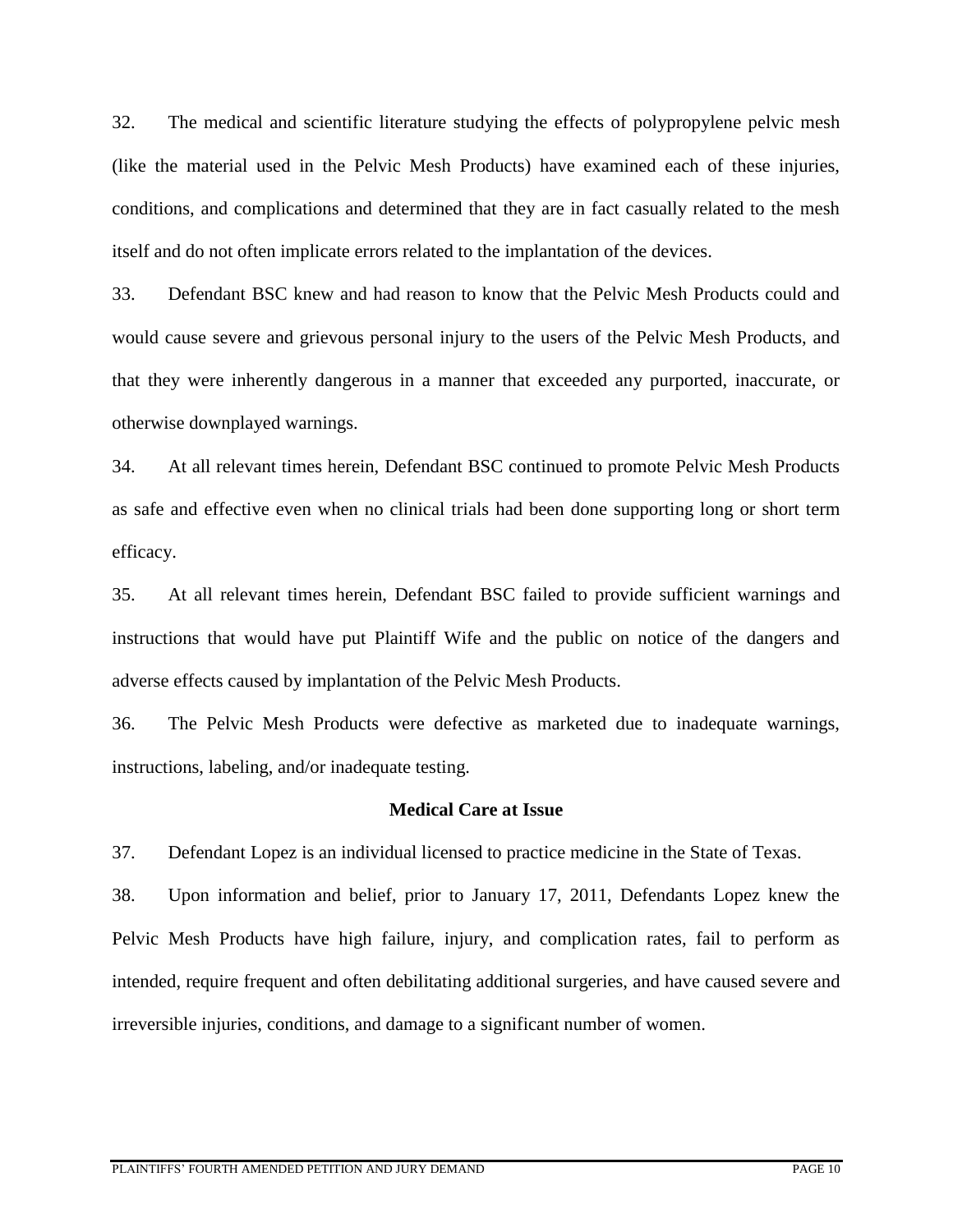32. The medical and scientific literature studying the effects of polypropylene pelvic mesh (like the material used in the Pelvic Mesh Products) have examined each of these injuries, conditions, and complications and determined that they are in fact casually related to the mesh itself and do not often implicate errors related to the implantation of the devices.

33. Defendant BSC knew and had reason to know that the Pelvic Mesh Products could and would cause severe and grievous personal injury to the users of the Pelvic Mesh Products, and that they were inherently dangerous in a manner that exceeded any purported, inaccurate, or otherwise downplayed warnings.

34. At all relevant times herein, Defendant BSC continued to promote Pelvic Mesh Products as safe and effective even when no clinical trials had been done supporting long or short term efficacy.

35. At all relevant times herein, Defendant BSC failed to provide sufficient warnings and instructions that would have put Plaintiff Wife and the public on notice of the dangers and adverse effects caused by implantation of the Pelvic Mesh Products.

36. The Pelvic Mesh Products were defective as marketed due to inadequate warnings, instructions, labeling, and/or inadequate testing.

#### **Medical Care at Issue**

37. Defendant Lopez is an individual licensed to practice medicine in the State of Texas.

38. Upon information and belief, prior to January 17, 2011, Defendants Lopez knew the Pelvic Mesh Products have high failure, injury, and complication rates, fail to perform as intended, require frequent and often debilitating additional surgeries, and have caused severe and irreversible injuries, conditions, and damage to a significant number of women.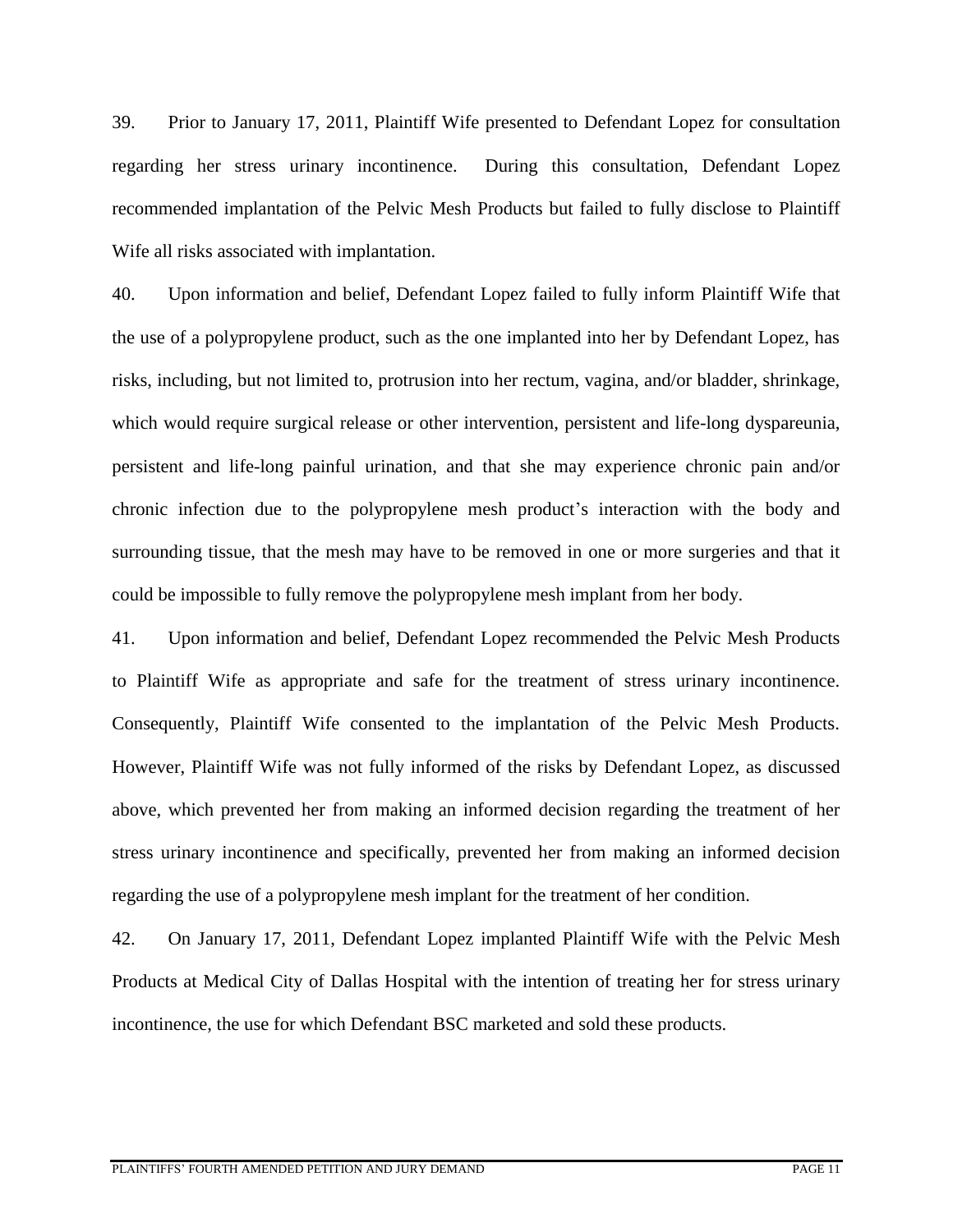39. Prior to January 17, 2011, Plaintiff Wife presented to Defendant Lopez for consultation regarding her stress urinary incontinence. During this consultation, Defendant Lopez recommended implantation of the Pelvic Mesh Products but failed to fully disclose to Plaintiff Wife all risks associated with implantation.

40. Upon information and belief, Defendant Lopez failed to fully inform Plaintiff Wife that the use of a polypropylene product, such as the one implanted into her by Defendant Lopez, has risks, including, but not limited to, protrusion into her rectum, vagina, and/or bladder, shrinkage, which would require surgical release or other intervention, persistent and life-long dyspareunia, persistent and life-long painful urination, and that she may experience chronic pain and/or chronic infection due to the polypropylene mesh product's interaction with the body and surrounding tissue, that the mesh may have to be removed in one or more surgeries and that it could be impossible to fully remove the polypropylene mesh implant from her body.

41. Upon information and belief, Defendant Lopez recommended the Pelvic Mesh Products to Plaintiff Wife as appropriate and safe for the treatment of stress urinary incontinence. Consequently, Plaintiff Wife consented to the implantation of the Pelvic Mesh Products. However, Plaintiff Wife was not fully informed of the risks by Defendant Lopez, as discussed above, which prevented her from making an informed decision regarding the treatment of her stress urinary incontinence and specifically, prevented her from making an informed decision regarding the use of a polypropylene mesh implant for the treatment of her condition.

42. On January 17, 2011, Defendant Lopez implanted Plaintiff Wife with the Pelvic Mesh Products at Medical City of Dallas Hospital with the intention of treating her for stress urinary incontinence, the use for which Defendant BSC marketed and sold these products.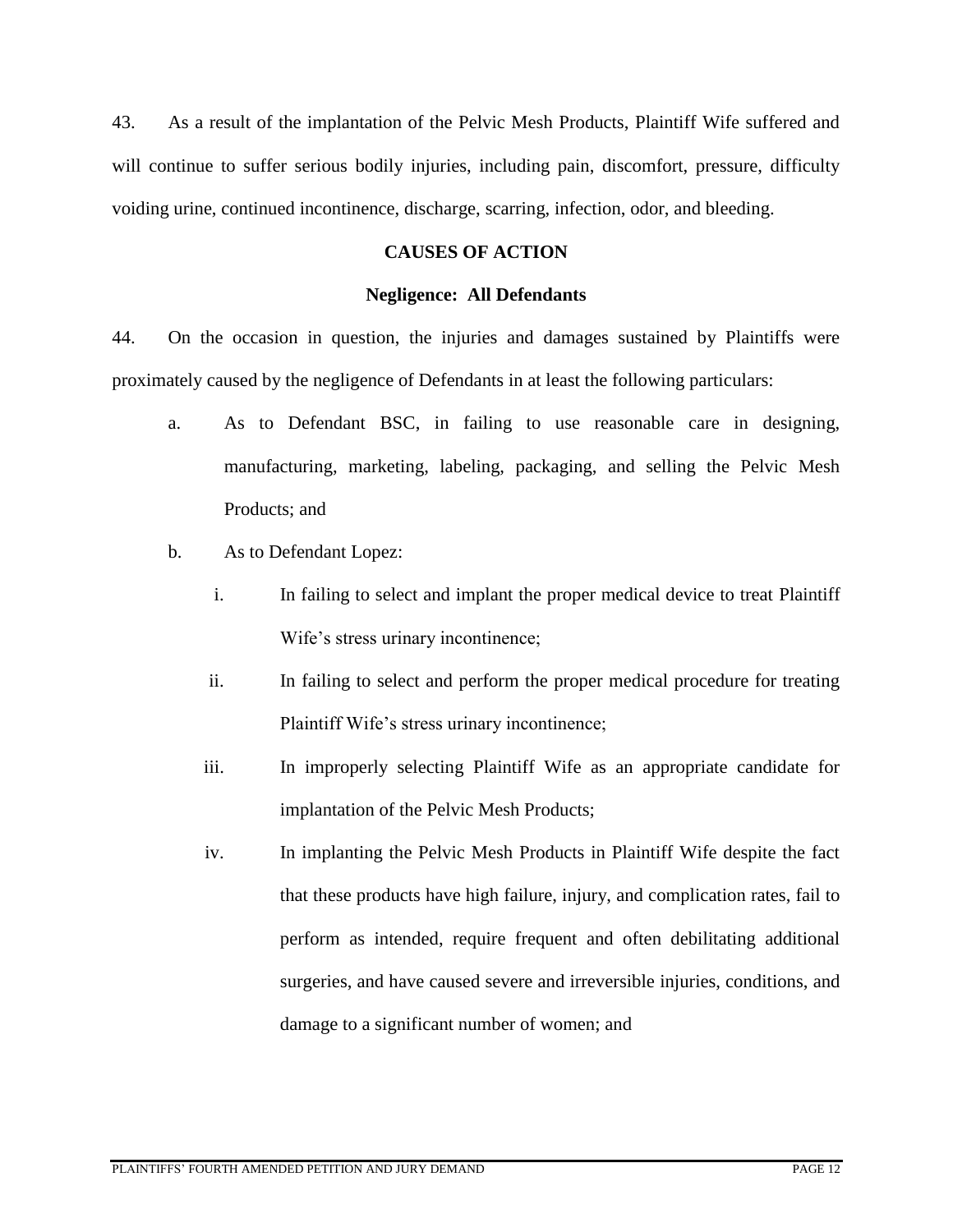43. As a result of the implantation of the Pelvic Mesh Products, Plaintiff Wife suffered and will continue to suffer serious bodily injuries, including pain, discomfort, pressure, difficulty voiding urine, continued incontinence, discharge, scarring, infection, odor, and bleeding.

## **CAUSES OF ACTION**

### **Negligence: All Defendants**

44. On the occasion in question, the injuries and damages sustained by Plaintiffs were proximately caused by the negligence of Defendants in at least the following particulars:

- a. As to Defendant BSC, in failing to use reasonable care in designing, manufacturing, marketing, labeling, packaging, and selling the Pelvic Mesh Products; and
- b. As to Defendant Lopez:
	- i. In failing to select and implant the proper medical device to treat Plaintiff Wife's stress urinary incontinence;
	- ii. In failing to select and perform the proper medical procedure for treating Plaintiff Wife's stress urinary incontinence;
	- iii. In improperly selecting Plaintiff Wife as an appropriate candidate for implantation of the Pelvic Mesh Products;
	- iv. In implanting the Pelvic Mesh Products in Plaintiff Wife despite the fact that these products have high failure, injury, and complication rates, fail to perform as intended, require frequent and often debilitating additional surgeries, and have caused severe and irreversible injuries, conditions, and damage to a significant number of women; and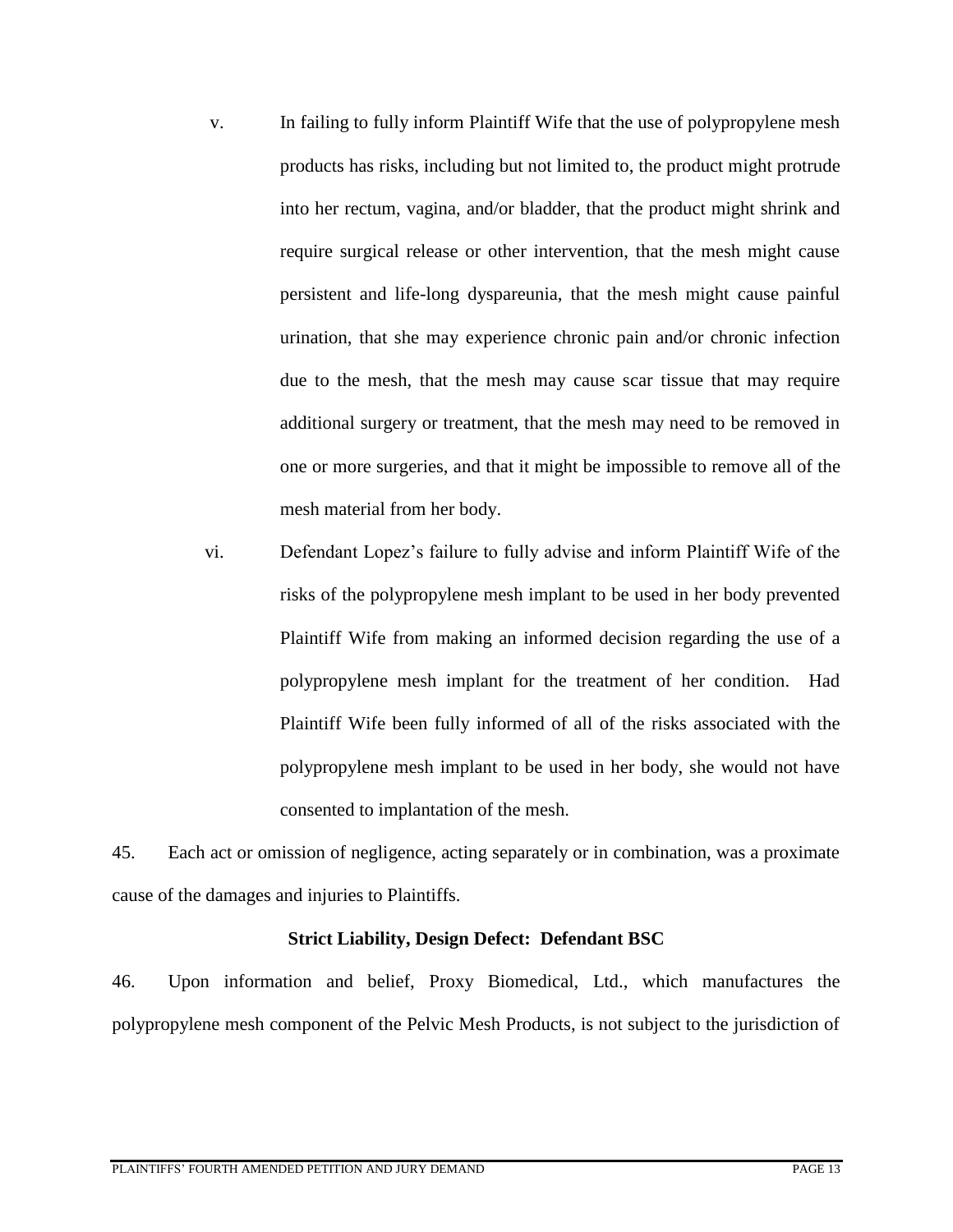- v. In failing to fully inform Plaintiff Wife that the use of polypropylene mesh products has risks, including but not limited to, the product might protrude into her rectum, vagina, and/or bladder, that the product might shrink and require surgical release or other intervention, that the mesh might cause persistent and life-long dyspareunia, that the mesh might cause painful urination, that she may experience chronic pain and/or chronic infection due to the mesh, that the mesh may cause scar tissue that may require additional surgery or treatment, that the mesh may need to be removed in one or more surgeries, and that it might be impossible to remove all of the mesh material from her body.
- vi. Defendant Lopez's failure to fully advise and inform Plaintiff Wife of the risks of the polypropylene mesh implant to be used in her body prevented Plaintiff Wife from making an informed decision regarding the use of a polypropylene mesh implant for the treatment of her condition. Had Plaintiff Wife been fully informed of all of the risks associated with the polypropylene mesh implant to be used in her body, she would not have consented to implantation of the mesh.

45. Each act or omission of negligence, acting separately or in combination, was a proximate cause of the damages and injuries to Plaintiffs.

# **Strict Liability, Design Defect: Defendant BSC**

46. Upon information and belief, Proxy Biomedical, Ltd., which manufactures the polypropylene mesh component of the Pelvic Mesh Products, is not subject to the jurisdiction of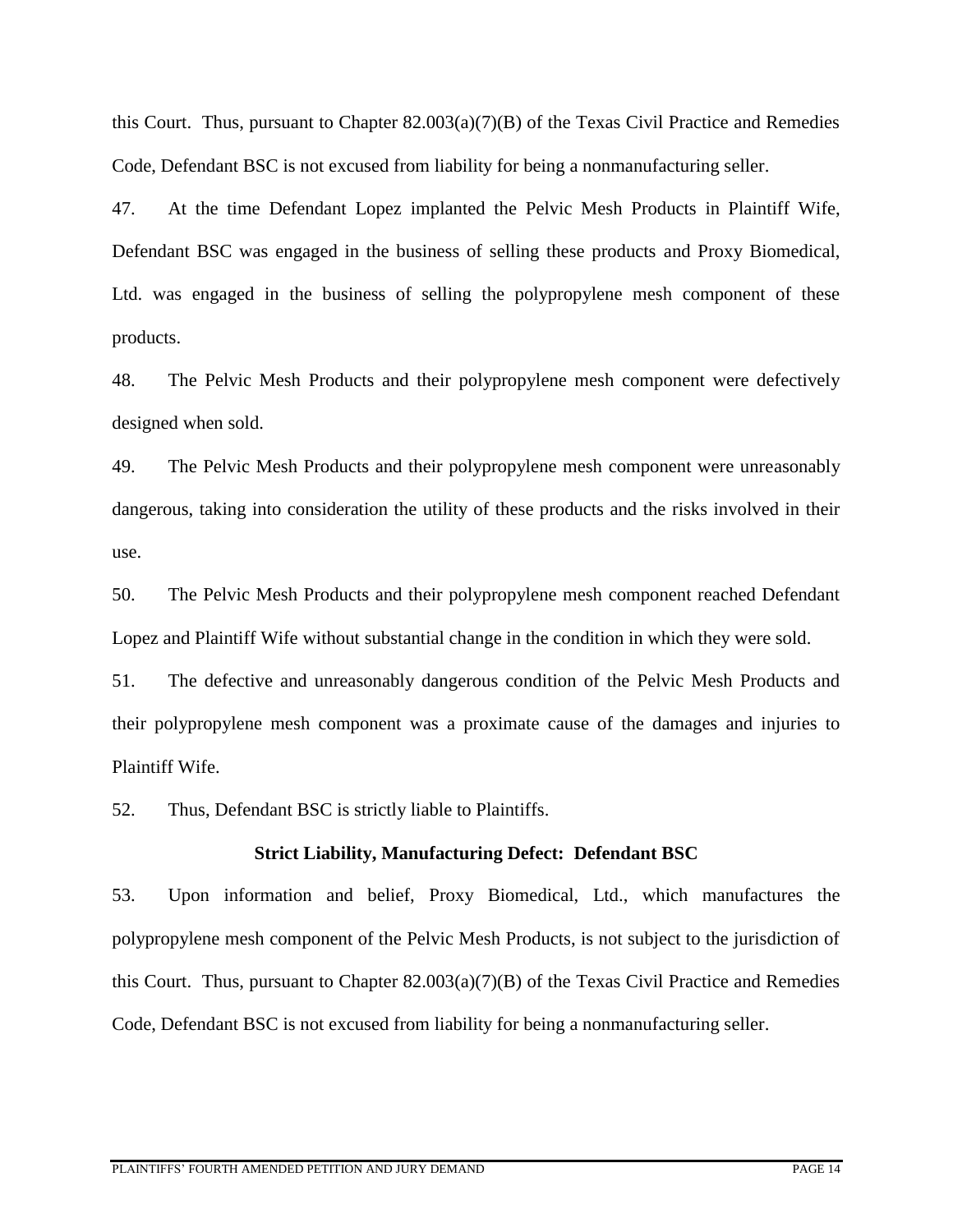this Court. Thus, pursuant to Chapter  $82.003(a)(7)(B)$  of the Texas Civil Practice and Remedies Code, Defendant BSC is not excused from liability for being a nonmanufacturing seller.

47. At the time Defendant Lopez implanted the Pelvic Mesh Products in Plaintiff Wife, Defendant BSC was engaged in the business of selling these products and Proxy Biomedical, Ltd. was engaged in the business of selling the polypropylene mesh component of these products.

48. The Pelvic Mesh Products and their polypropylene mesh component were defectively designed when sold.

49. The Pelvic Mesh Products and their polypropylene mesh component were unreasonably dangerous, taking into consideration the utility of these products and the risks involved in their use.

50. The Pelvic Mesh Products and their polypropylene mesh component reached Defendant Lopez and Plaintiff Wife without substantial change in the condition in which they were sold.

51. The defective and unreasonably dangerous condition of the Pelvic Mesh Products and their polypropylene mesh component was a proximate cause of the damages and injuries to Plaintiff Wife.

52. Thus, Defendant BSC is strictly liable to Plaintiffs.

#### **Strict Liability, Manufacturing Defect: Defendant BSC**

53. Upon information and belief, Proxy Biomedical, Ltd., which manufactures the polypropylene mesh component of the Pelvic Mesh Products, is not subject to the jurisdiction of this Court. Thus, pursuant to Chapter 82.003(a)(7)(B) of the Texas Civil Practice and Remedies Code, Defendant BSC is not excused from liability for being a nonmanufacturing seller.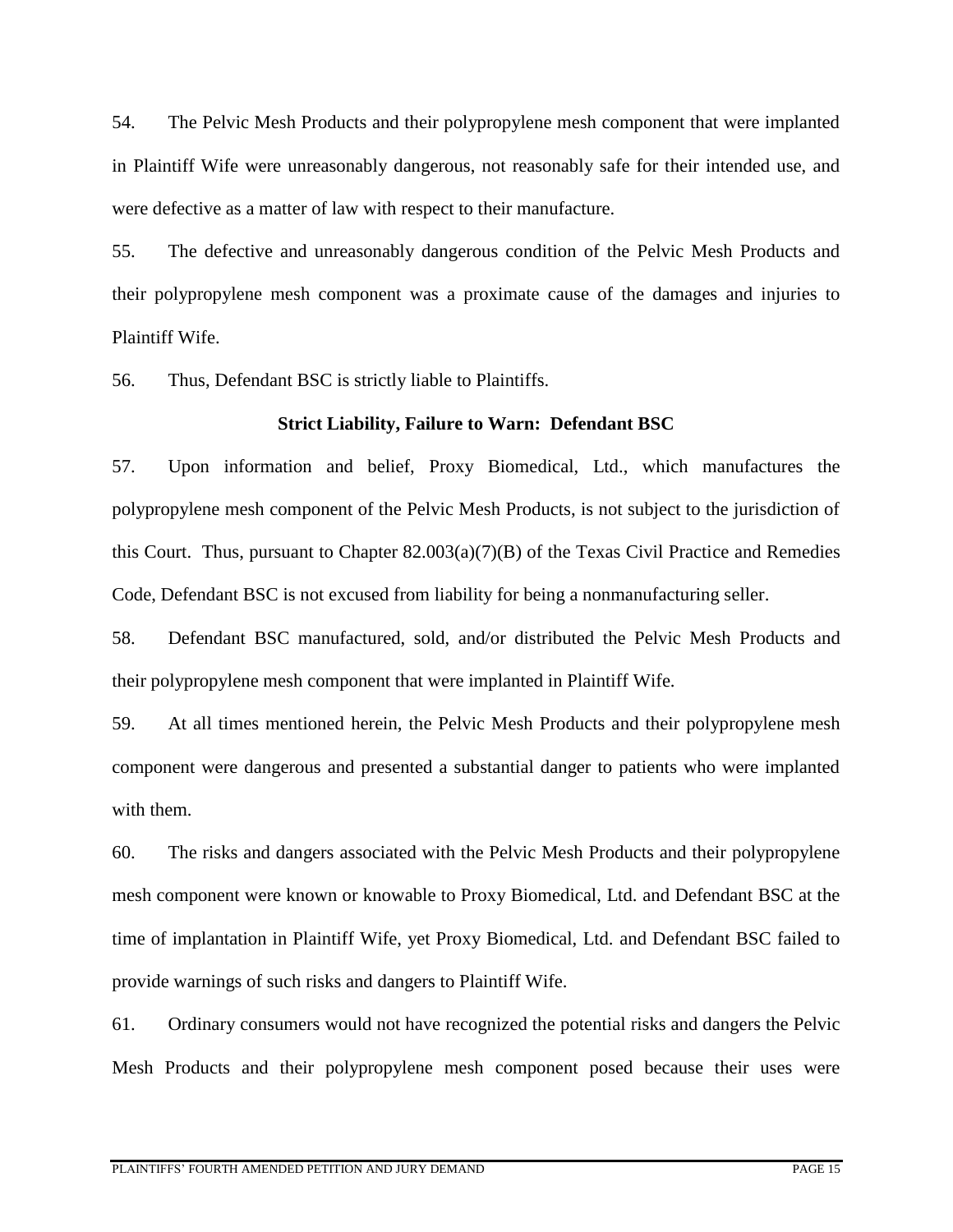54. The Pelvic Mesh Products and their polypropylene mesh component that were implanted in Plaintiff Wife were unreasonably dangerous, not reasonably safe for their intended use, and were defective as a matter of law with respect to their manufacture.

55. The defective and unreasonably dangerous condition of the Pelvic Mesh Products and their polypropylene mesh component was a proximate cause of the damages and injuries to Plaintiff Wife.

56. Thus, Defendant BSC is strictly liable to Plaintiffs.

## **Strict Liability, Failure to Warn: Defendant BSC**

57. Upon information and belief, Proxy Biomedical, Ltd., which manufactures the polypropylene mesh component of the Pelvic Mesh Products, is not subject to the jurisdiction of this Court. Thus, pursuant to Chapter 82.003(a)(7)(B) of the Texas Civil Practice and Remedies Code, Defendant BSC is not excused from liability for being a nonmanufacturing seller.

58. Defendant BSC manufactured, sold, and/or distributed the Pelvic Mesh Products and their polypropylene mesh component that were implanted in Plaintiff Wife.

59. At all times mentioned herein, the Pelvic Mesh Products and their polypropylene mesh component were dangerous and presented a substantial danger to patients who were implanted with them.

60. The risks and dangers associated with the Pelvic Mesh Products and their polypropylene mesh component were known or knowable to Proxy Biomedical, Ltd. and Defendant BSC at the time of implantation in Plaintiff Wife, yet Proxy Biomedical, Ltd. and Defendant BSC failed to provide warnings of such risks and dangers to Plaintiff Wife.

61. Ordinary consumers would not have recognized the potential risks and dangers the Pelvic Mesh Products and their polypropylene mesh component posed because their uses were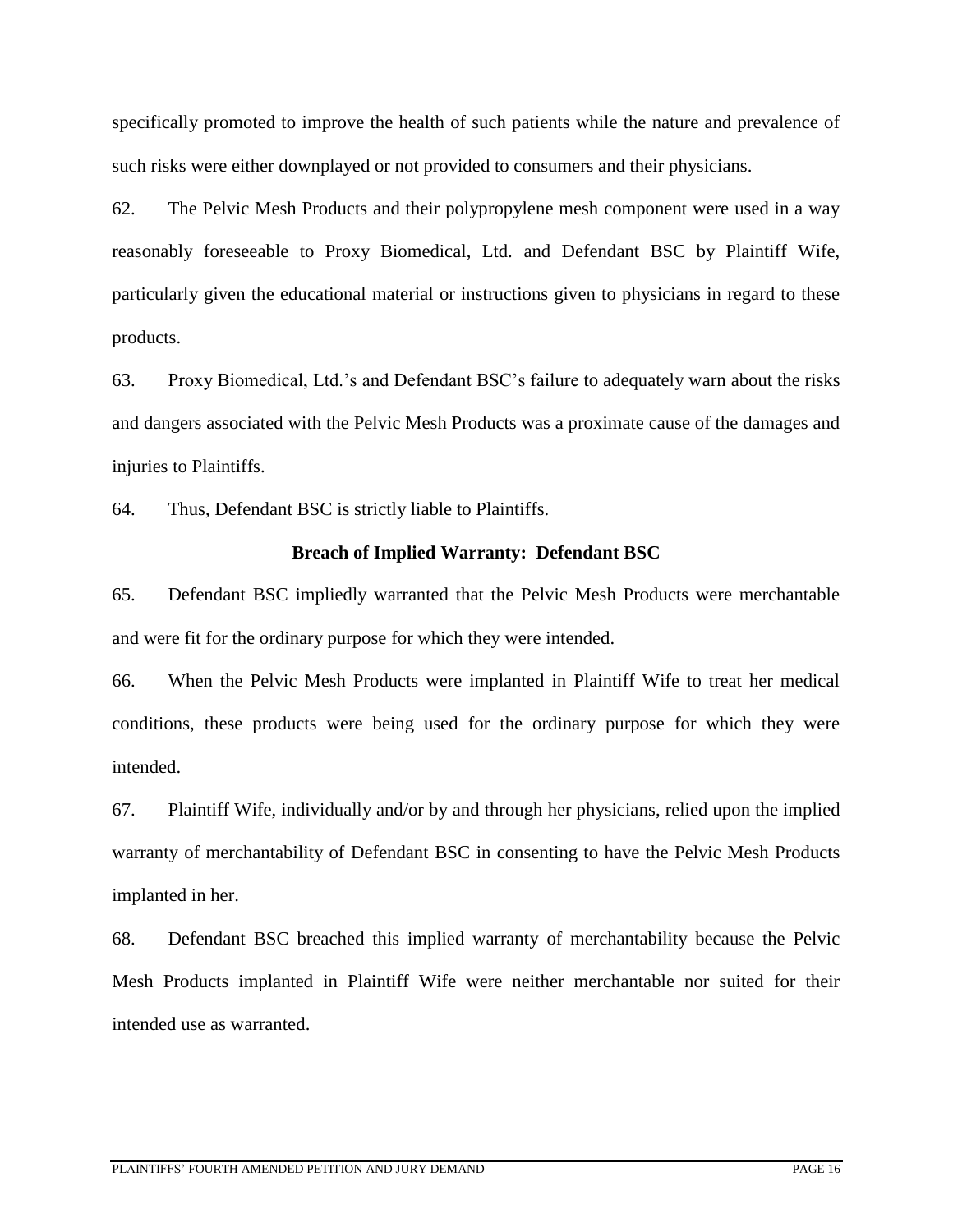specifically promoted to improve the health of such patients while the nature and prevalence of such risks were either downplayed or not provided to consumers and their physicians.

62. The Pelvic Mesh Products and their polypropylene mesh component were used in a way reasonably foreseeable to Proxy Biomedical, Ltd. and Defendant BSC by Plaintiff Wife, particularly given the educational material or instructions given to physicians in regard to these products.

63. Proxy Biomedical, Ltd.'s and Defendant BSC's failure to adequately warn about the risks and dangers associated with the Pelvic Mesh Products was a proximate cause of the damages and injuries to Plaintiffs.

64. Thus, Defendant BSC is strictly liable to Plaintiffs.

### **Breach of Implied Warranty: Defendant BSC**

65. Defendant BSC impliedly warranted that the Pelvic Mesh Products were merchantable and were fit for the ordinary purpose for which they were intended.

66. When the Pelvic Mesh Products were implanted in Plaintiff Wife to treat her medical conditions, these products were being used for the ordinary purpose for which they were intended.

67. Plaintiff Wife, individually and/or by and through her physicians, relied upon the implied warranty of merchantability of Defendant BSC in consenting to have the Pelvic Mesh Products implanted in her.

68. Defendant BSC breached this implied warranty of merchantability because the Pelvic Mesh Products implanted in Plaintiff Wife were neither merchantable nor suited for their intended use as warranted.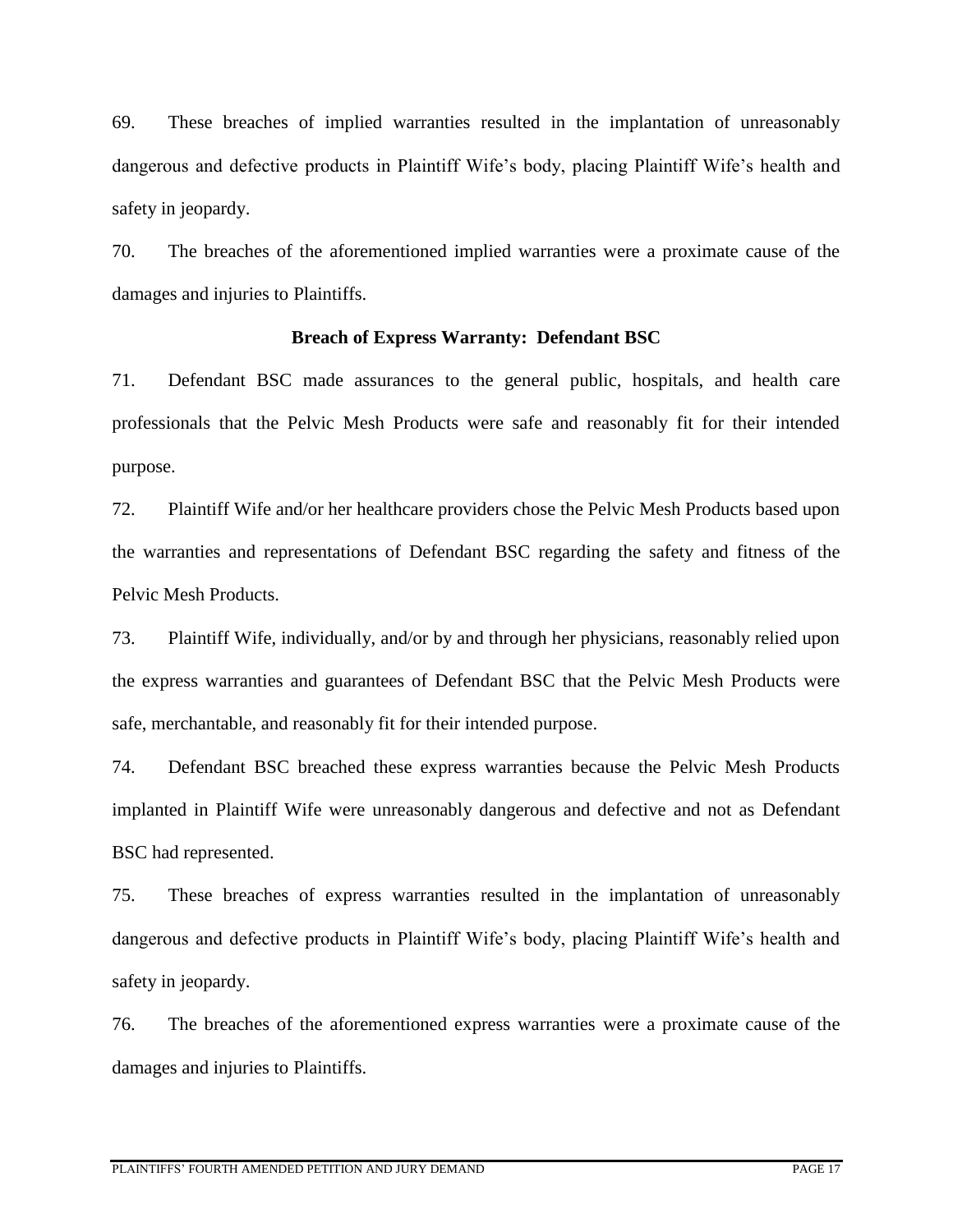69. These breaches of implied warranties resulted in the implantation of unreasonably dangerous and defective products in Plaintiff Wife's body, placing Plaintiff Wife's health and safety in jeopardy.

70. The breaches of the aforementioned implied warranties were a proximate cause of the damages and injuries to Plaintiffs.

#### **Breach of Express Warranty: Defendant BSC**

71. Defendant BSC made assurances to the general public, hospitals, and health care professionals that the Pelvic Mesh Products were safe and reasonably fit for their intended purpose.

72. Plaintiff Wife and/or her healthcare providers chose the Pelvic Mesh Products based upon the warranties and representations of Defendant BSC regarding the safety and fitness of the Pelvic Mesh Products.

73. Plaintiff Wife, individually, and/or by and through her physicians, reasonably relied upon the express warranties and guarantees of Defendant BSC that the Pelvic Mesh Products were safe, merchantable, and reasonably fit for their intended purpose.

74. Defendant BSC breached these express warranties because the Pelvic Mesh Products implanted in Plaintiff Wife were unreasonably dangerous and defective and not as Defendant BSC had represented.

75. These breaches of express warranties resulted in the implantation of unreasonably dangerous and defective products in Plaintiff Wife's body, placing Plaintiff Wife's health and safety in jeopardy.

76. The breaches of the aforementioned express warranties were a proximate cause of the damages and injuries to Plaintiffs.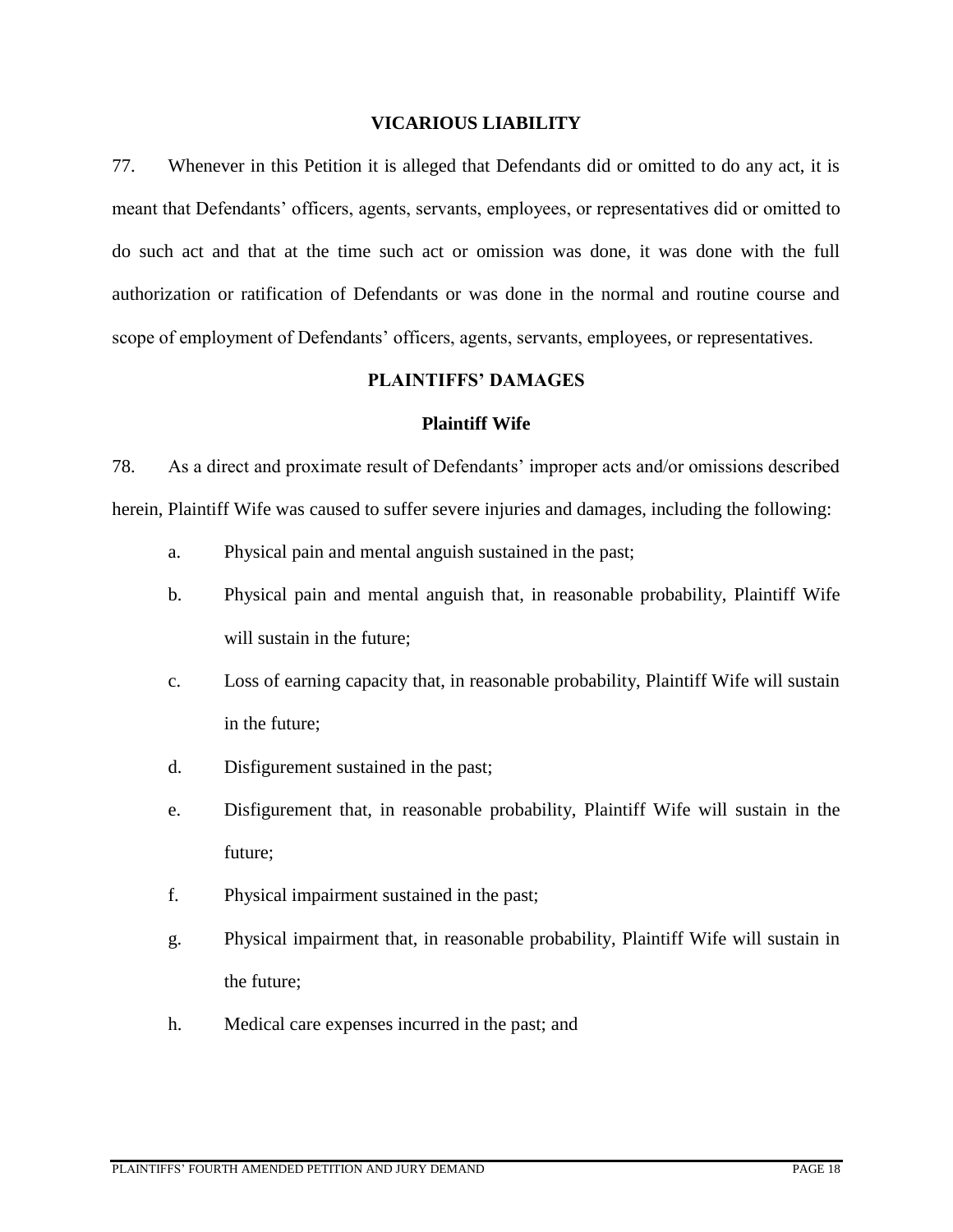#### **VICARIOUS LIABILITY**

77. Whenever in this Petition it is alleged that Defendants did or omitted to do any act, it is meant that Defendants' officers, agents, servants, employees, or representatives did or omitted to do such act and that at the time such act or omission was done, it was done with the full authorization or ratification of Defendants or was done in the normal and routine course and scope of employment of Defendants' officers, agents, servants, employees, or representatives.

# **PLAINTIFFS' DAMAGES**

#### **Plaintiff Wife**

78. As a direct and proximate result of Defendants' improper acts and/or omissions described herein, Plaintiff Wife was caused to suffer severe injuries and damages, including the following:

- a. Physical pain and mental anguish sustained in the past;
- b. Physical pain and mental anguish that, in reasonable probability, Plaintiff Wife will sustain in the future;
- c. Loss of earning capacity that, in reasonable probability, Plaintiff Wife will sustain in the future;
- d. Disfigurement sustained in the past;
- e. Disfigurement that, in reasonable probability, Plaintiff Wife will sustain in the future;
- f. Physical impairment sustained in the past;
- g. Physical impairment that, in reasonable probability, Plaintiff Wife will sustain in the future;
- h. Medical care expenses incurred in the past; and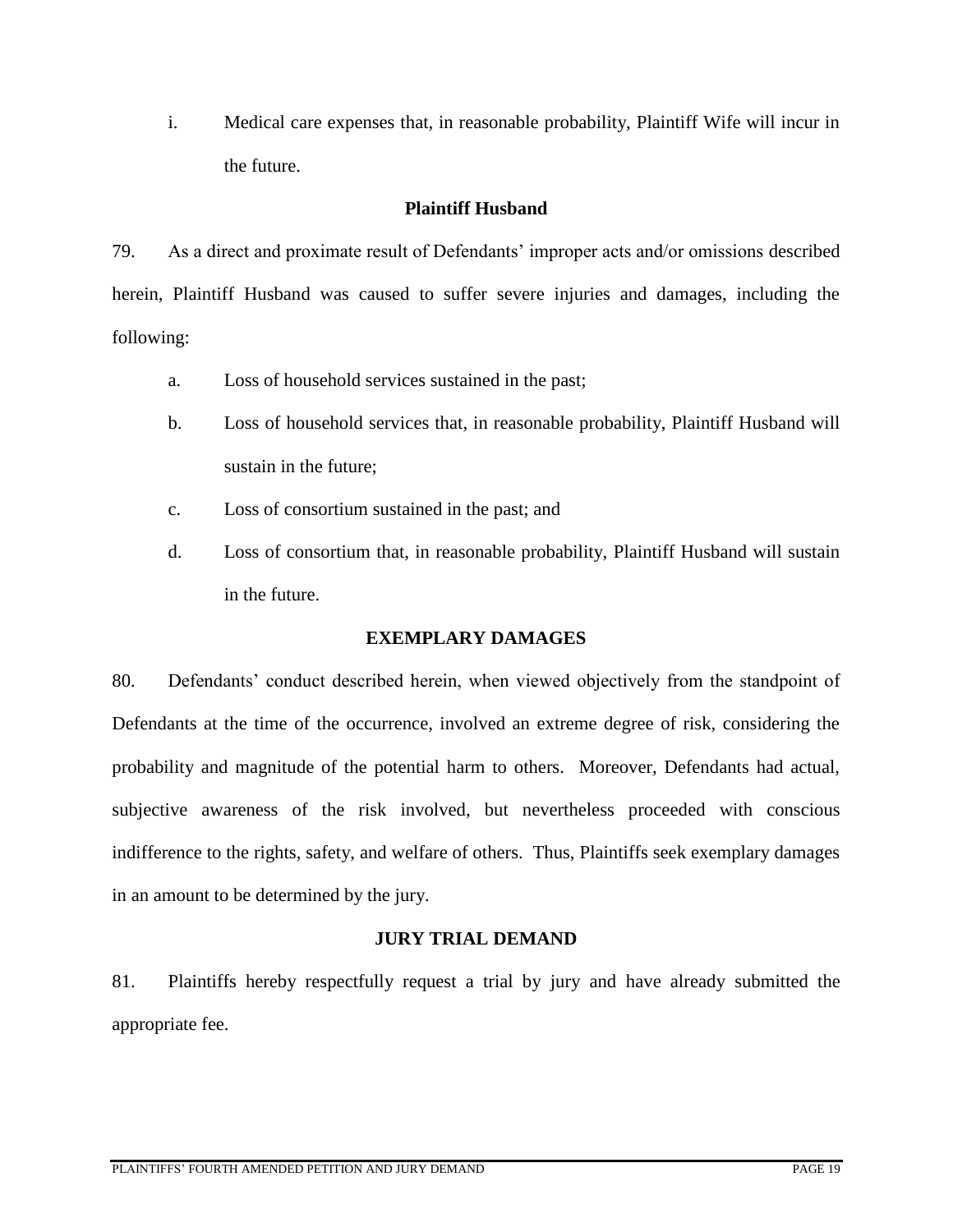i. Medical care expenses that, in reasonable probability, Plaintiff Wife will incur in the future.

# **Plaintiff Husband**

79. As a direct and proximate result of Defendants' improper acts and/or omissions described herein, Plaintiff Husband was caused to suffer severe injuries and damages, including the following:

- a. Loss of household services sustained in the past;
- b. Loss of household services that, in reasonable probability, Plaintiff Husband will sustain in the future;
- c. Loss of consortium sustained in the past; and
- d. Loss of consortium that, in reasonable probability, Plaintiff Husband will sustain in the future.

# **EXEMPLARY DAMAGES**

80. Defendants' conduct described herein, when viewed objectively from the standpoint of Defendants at the time of the occurrence, involved an extreme degree of risk, considering the probability and magnitude of the potential harm to others. Moreover, Defendants had actual, subjective awareness of the risk involved, but nevertheless proceeded with conscious indifference to the rights, safety, and welfare of others. Thus, Plaintiffs seek exemplary damages in an amount to be determined by the jury.

# **JURY TRIAL DEMAND**

81. Plaintiffs hereby respectfully request a trial by jury and have already submitted the appropriate fee.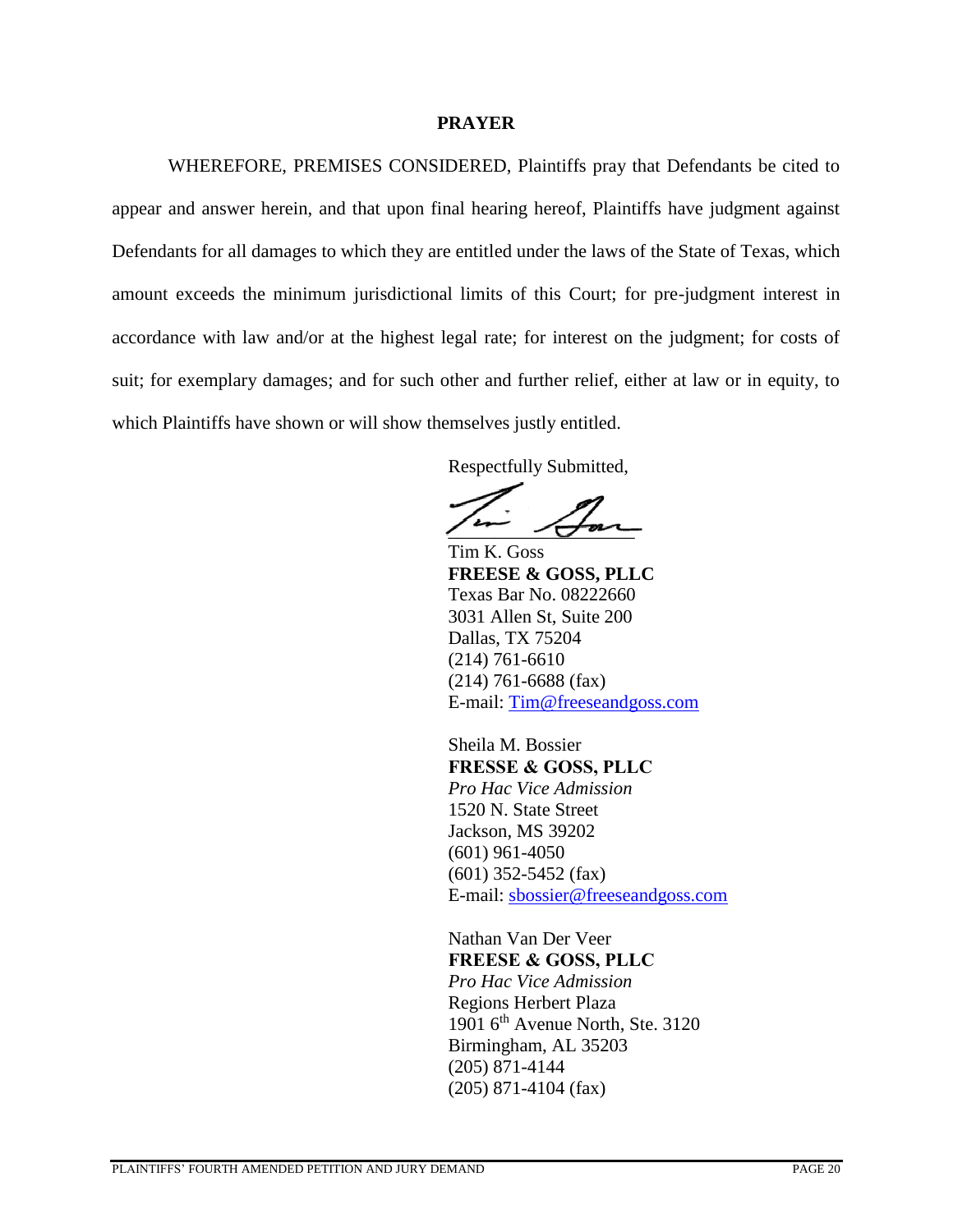### **PRAYER**

WHEREFORE, PREMISES CONSIDERED, Plaintiffs pray that Defendants be cited to appear and answer herein, and that upon final hearing hereof, Plaintiffs have judgment against Defendants for all damages to which they are entitled under the laws of the State of Texas, which amount exceeds the minimum jurisdictional limits of this Court; for pre-judgment interest in accordance with law and/or at the highest legal rate; for interest on the judgment; for costs of suit; for exemplary damages; and for such other and further relief, either at law or in equity, to which Plaintiffs have shown or will show themselves justly entitled.

Respectfully Submitted,

 $\sqrt{2}$ 

Tim K. Goss **FREESE & GOSS, PLLC** Texas Bar No. 08222660 3031 Allen St, Suite 200 Dallas, TX 75204 (214) 761-6610 (214) 761-6688 (fax) E-mail: [Tim@freeseandgoss.com](mailto:Tim@freezeandgoss.com)

Sheila M. Bossier **FRESSE & GOSS, PLLC** *Pro Hac Vice Admission* 1520 N. State Street Jackson, MS 39202 (601) 961-4050 (601) 352-5452 (fax) E-mail: [sbossier@freeseandgoss.com](mailto:sbossier@freeseandgoss.com)

Nathan Van Der Veer **FREESE & GOSS, PLLC** *Pro Hac Vice Admission* Regions Herbert Plaza 1901 6<sup>th</sup> Avenue North, Ste. 3120 Birmingham, AL 35203 (205) 871-4144 (205) 871-4104 (fax)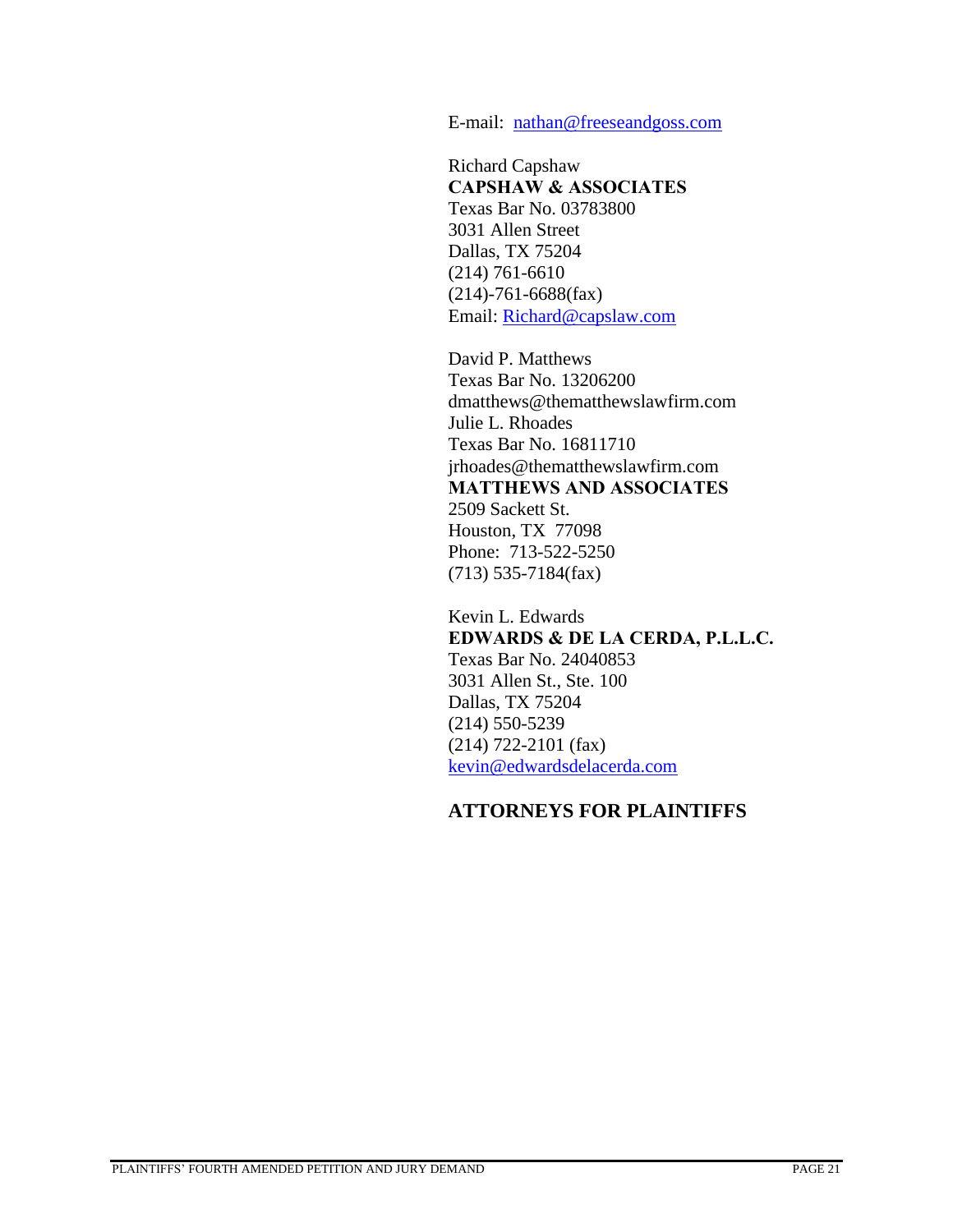E-mail: [nathan@freeseandgoss.com](mailto:nathan@freeseandgoss.com)

Richard Capshaw **CAPSHAW & ASSOCIATES** Texas Bar No. 03783800 3031 Allen Street Dallas, TX 75204 (214) 761-6610 (214)-761-6688(fax) Email: [Richard@capslaw.com](mailto:Richard@capslaw.com)

David P. Matthews Texas Bar No. 13206200 dmatthews@thematthewslawfirm.com Julie L. Rhoades Texas Bar No. 16811710 jrhoades@thematthewslawfirm.com **MATTHEWS AND ASSOCIATES**  2509 Sackett St. Houston, TX 77098 Phone: 713-522-5250 (713) 535-7184(fax)

Kevin L. Edwards **EDWARDS & DE LA CERDA, P.L.L.C.** Texas Bar No. 24040853 3031 Allen St., Ste. 100 Dallas, TX 75204 (214) 550-5239 (214) 722-2101 (fax) [kevin@edwardsdelacerda.com](mailto:kevin@edwardsdelacerda.com)

# **ATTORNEYS FOR PLAINTIFFS**